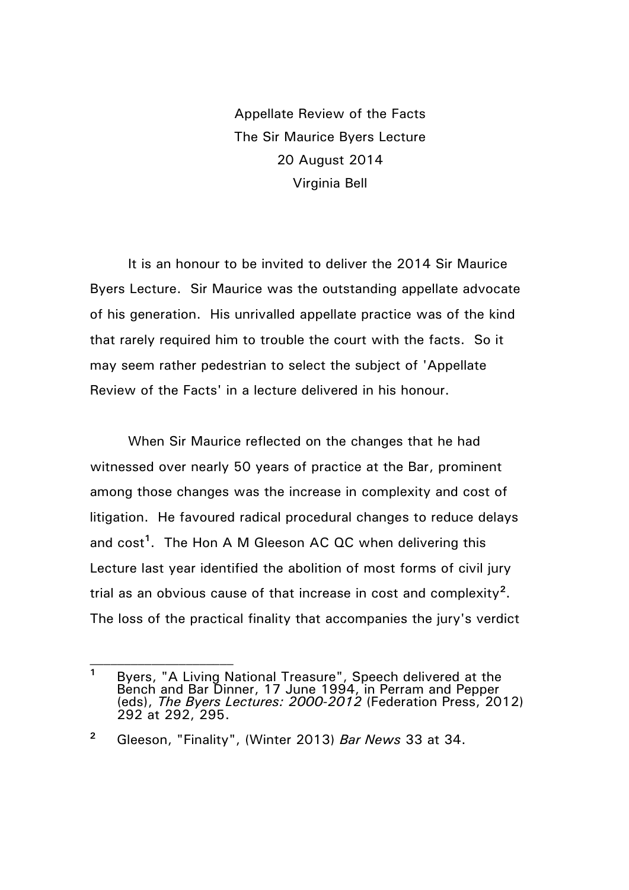Appellate Review of the Facts The Sir Maurice Byers Lecture 20 August 2014 Virginia Bell

It is an honour to be invited to deliver the 2014 Sir Maurice Byers Lecture. Sir Maurice was the outstanding appellate advocate of his generation. His unrivalled appellate practice was of the kind that rarely required him to trouble the court with the facts. So it may seem rather pedestrian to select the subject of 'Appellate Review of the Facts' in a lecture delivered in his honour.

When Sir Maurice reflected on the changes that he had witnessed over nearly 50 years of practice at the Bar, prominent among those changes was the increase in complexity and cost of litigation. He favoured radical procedural changes to reduce delays and cost<sup>1</sup>. The Hon A M Gleeson AC QC when delivering this Lecture last year identified the abolition of most forms of civil jury trial as an obvious cause of that increase in cost and complexity**<sup>2</sup>** . The loss of the practical finality that accompanies the jury's verdict

**<sup>1</sup>** Byers, "A Living National Treasure", Speech delivered at the Bench and Bar Dinner, 17 June 1994, in Perram and Pepper (eds), *The Byers Lectures: 2000-2012* (Federation Press, 2012) 292 at 292, 295.

**<sup>2</sup>** Gleeson, "Finality", (Winter 2013) *Bar News* 33 at 34.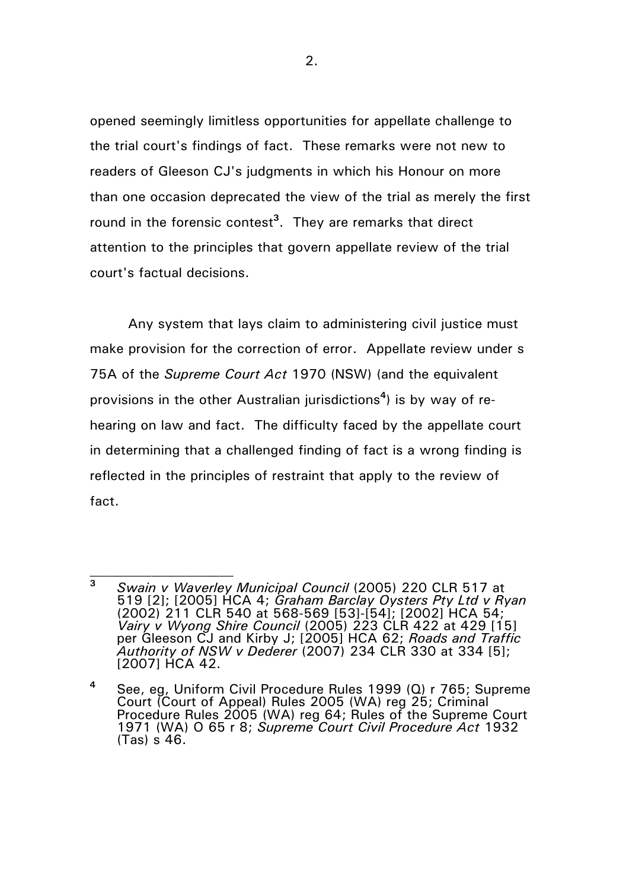opened seemingly limitless opportunities for appellate challenge to the trial court's findings of fact. These remarks were not new to readers of Gleeson CJ's judgments in which his Honour on more than one occasion deprecated the view of the trial as merely the first round in the forensic contest**<sup>3</sup>** . They are remarks that direct attention to the principles that govern appellate review of the trial court's factual decisions.

Any system that lays claim to administering civil justice must make provision for the correction of error. Appellate review under s 75A of the *Supreme Court Act* 1970 (NSW) (and the equivalent provisions in the other Australian jurisdictions**<sup>4</sup>** ) is by way of rehearing on law and fact. The difficulty faced by the appellate court in determining that a challenged finding of fact is a wrong finding is reflected in the principles of restraint that apply to the review of fact.

**<sup>3</sup>** *Swain v Waverley Municipal Council* (2005) 220 CLR 517 at 519 [2]; [2005] HCA 4; *Graham Barclay Oysters Pty Ltd v Ryan* (2002) 211 CLR 540 at 568-569 [53]-[54]; [2002] HCA 54; *Vairy v Wyong Shire Council* (2005) 223 CLR 422 at 429 [15] per Gleeson CJ and Kirby J; [2005] HCA 62; *Roads and Traffic Authority of NSW v Dederer* (2007) 234 CLR 330 at 334 [5]; [2007] HCA 42.

**<sup>4</sup>** See, eg, Uniform Civil Procedure Rules 1999 (Q) r 765; Supreme Court (Court of Appeal) Rules 2005 (WA) reg 25; Criminal Procedure Rules 2005 (WA) reg 64; Rules of the Supreme Court 1971 (WA) O 65 r 8; *Supreme Court Civil Procedure Act* 1932 (Tas) s 46.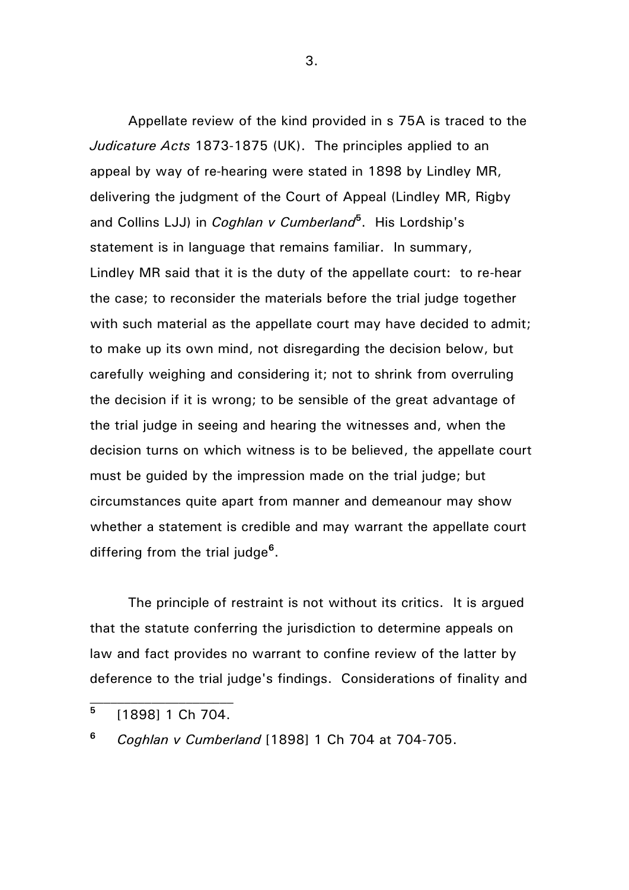Appellate review of the kind provided in s 75A is traced to the *Judicature Acts* 1873-1875 (UK). The principles applied to an appeal by way of re-hearing were stated in 1898 by Lindley MR, delivering the judgment of the Court of Appeal (Lindley MR, Rigby and Collins LJJ) in *Coghlan v Cumberland***<sup>5</sup>** . His Lordship's statement is in language that remains familiar. In summary, Lindley MR said that it is the duty of the appellate court: to re-hear the case; to reconsider the materials before the trial judge together with such material as the appellate court may have decided to admit; to make up its own mind, not disregarding the decision below, but carefully weighing and considering it; not to shrink from overruling the decision if it is wrong; to be sensible of the great advantage of the trial judge in seeing and hearing the witnesses and, when the decision turns on which witness is to be believed, the appellate court must be guided by the impression made on the trial judge; but circumstances quite apart from manner and demeanour may show whether a statement is credible and may warrant the appellate court differing from the trial judge**<sup>6</sup>** .

The principle of restraint is not without its critics. It is argued that the statute conferring the jurisdiction to determine appeals on law and fact provides no warrant to confine review of the latter by deference to the trial judge's findings. Considerations of finality and

**<sup>6</sup>** *Coghlan v Cumberland* [1898] 1 Ch 704 at 704-705.

**<sup>5</sup>** [1898] 1 Ch 704.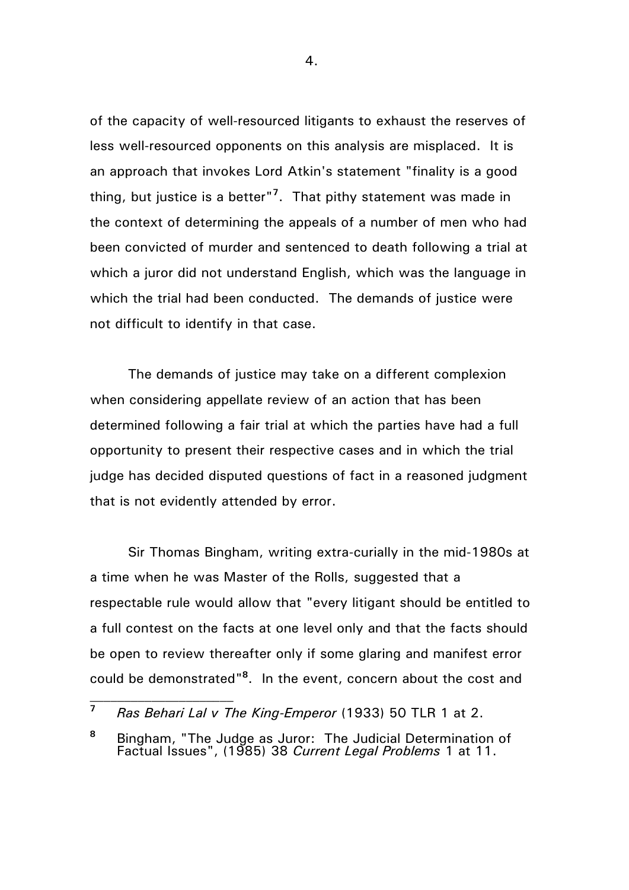of the capacity of well-resourced litigants to exhaust the reserves of less well-resourced opponents on this analysis are misplaced. It is an approach that invokes Lord Atkin's statement "finality is a good thing, but justice is a better"**<sup>7</sup>** . That pithy statement was made in the context of determining the appeals of a number of men who had been convicted of murder and sentenced to death following a trial at which a juror did not understand English, which was the language in which the trial had been conducted. The demands of justice were not difficult to identify in that case.

The demands of justice may take on a different complexion when considering appellate review of an action that has been determined following a fair trial at which the parties have had a full opportunity to present their respective cases and in which the trial judge has decided disputed questions of fact in a reasoned judgment that is not evidently attended by error.

Sir Thomas Bingham, writing extra-curially in the mid-1980s at a time when he was Master of the Rolls, suggested that a respectable rule would allow that "every litigant should be entitled to a full contest on the facts at one level only and that the facts should be open to review thereafter only if some glaring and manifest error could be demonstrated" **8** . In the event, concern about the cost and

**<sup>7</sup>** *Ras Behari Lal v The King-Emperor* (1933) 50 TLR 1 at 2.

**<sup>8</sup>** Bingham, "The Judge as Juror: The Judicial Determination of Factual Issues", (1985) 38 *Current Legal Problems* 1 at 11.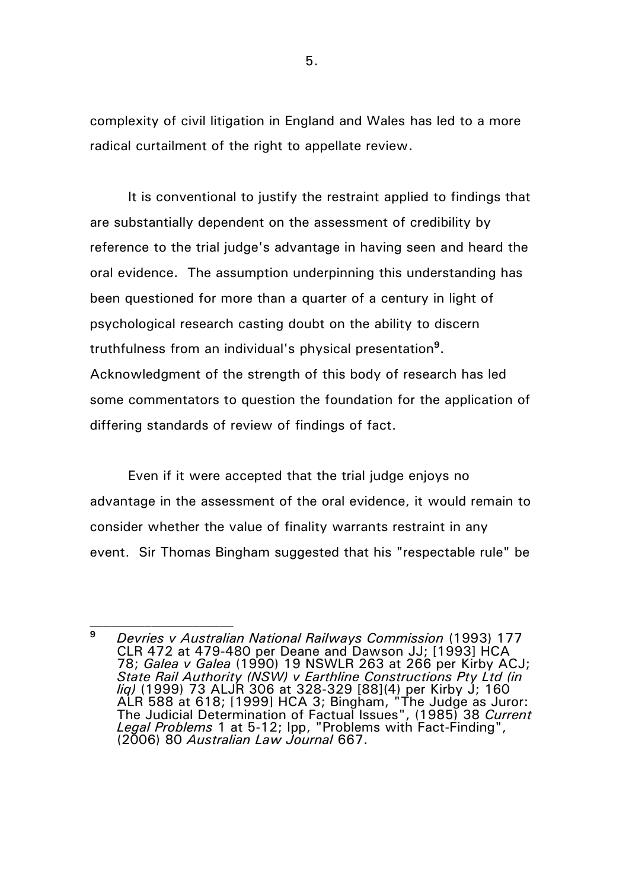complexity of civil litigation in England and Wales has led to a more radical curtailment of the right to appellate review.

It is conventional to justify the restraint applied to findings that are substantially dependent on the assessment of credibility by reference to the trial judge's advantage in having seen and heard the oral evidence. The assumption underpinning this understanding has been questioned for more than a quarter of a century in light of psychological research casting doubt on the ability to discern truthfulness from an individual's physical presentation**<sup>9</sup>** . Acknowledgment of the strength of this body of research has led some commentators to question the foundation for the application of differing standards of review of findings of fact.

Even if it were accepted that the trial judge enjoys no advantage in the assessment of the oral evidence, it would remain to consider whether the value of finality warrants restraint in any event. Sir Thomas Bingham suggested that his "respectable rule" be

**<sup>9</sup>** *Devries v Australian National Railways Commission* (1993) 177 CLR 472 at 479-480 per Deane and Dawson JJ; [1993] HCA 78; *Galea v Galea* (1990) 19 NSWLR 263 at 266 per Kirby ACJ; *State Rail Authority (NSW) v Earthline Constructions Pty Ltd (in liq)* (1999) 73 ALJR 306 at 328-329 [88](4) per Kirby J; 160 ALR 588 at 618; [1999] HCA 3; Bingham, "The Judge as Juror: The Judicial Determination of Factual Issues", (1985) 38 *Current Legal Problems* 1 at 5-12; Ipp, "Problems with Fact-Finding", (2006) 80 *Australian Law Journal* 667.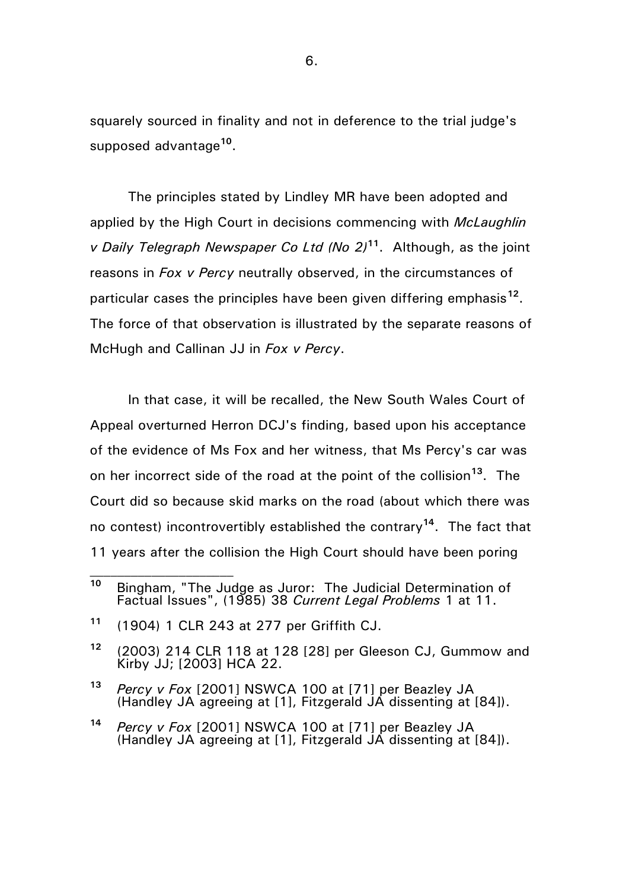squarely sourced in finality and not in deference to the trial judge's supposed advantage**<sup>10</sup>** .

The principles stated by Lindley MR have been adopted and applied by the High Court in decisions commencing with *McLaughlin v Daily Telegraph Newspaper Co Ltd (No 2)***<sup>11</sup>**. Although, as the joint reasons in *Fox v Percy* neutrally observed, in the circumstances of particular cases the principles have been given differing emphasis**<sup>12</sup>** . The force of that observation is illustrated by the separate reasons of McHugh and Callinan JJ in *Fox v Percy*.

In that case, it will be recalled, the New South Wales Court of Appeal overturned Herron DCJ's finding, based upon his acceptance of the evidence of Ms Fox and her witness, that Ms Percy's car was on her incorrect side of the road at the point of the collision**<sup>13</sup>** . The Court did so because skid marks on the road (about which there was no contest) incontrovertibly established the contrary**<sup>14</sup>**. The fact that 11 years after the collision the High Court should have been poring

**<sup>13</sup>** *Percy v Fox* [2001] NSWCA 100 at [71] per Beazley JA (Handley JA agreeing at [1], Fitzgerald JA dissenting at [84]).

**<sup>10</sup>** Bingham, "The Judge as Juror: The Judicial Determination of Factual Issues", (1985) 38 *Current Legal Problems* 1 at 11.

**<sup>11</sup>** (1904) 1 CLR 243 at 277 per Griffith CJ.

**<sup>12</sup>** (2003) 214 CLR 118 at 128 [28] per Gleeson CJ, Gummow and Kirby JJ; [2003] HCA 22.

**<sup>14</sup>** *Percy v Fox* [2001] NSWCA 100 at [71] per Beazley JA (Handley JA agreeing at [1], Fitzgerald JA dissenting at [84]).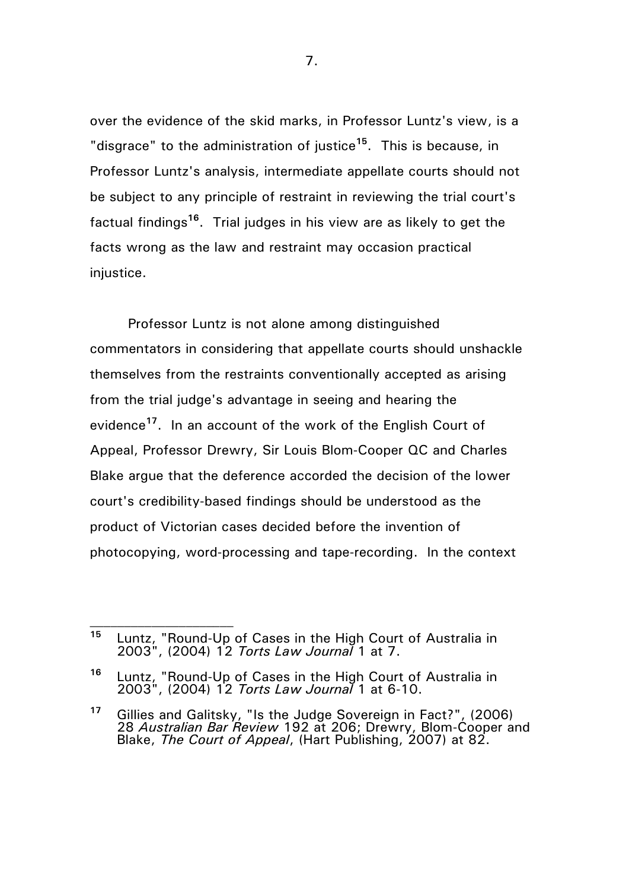over the evidence of the skid marks, in Professor Luntz's view, is a "disgrace" to the administration of justice**<sup>15</sup>**. This is because, in Professor Luntz's analysis, intermediate appellate courts should not be subject to any principle of restraint in reviewing the trial court's factual findings<sup>16</sup>. Trial judges in his view are as likely to get the facts wrong as the law and restraint may occasion practical iniustice.

Professor Luntz is not alone among distinguished commentators in considering that appellate courts should unshackle themselves from the restraints conventionally accepted as arising from the trial judge's advantage in seeing and hearing the evidence**<sup>17</sup>**. In an account of the work of the English Court of Appeal, Professor Drewry, Sir Louis Blom-Cooper QC and Charles Blake argue that the deference accorded the decision of the lower court's credibility-based findings should be understood as the product of Victorian cases decided before the invention of photocopying, word-processing and tape-recording. In the context

**<sup>15</sup>** Luntz, "Round-Up of Cases in the High Court of Australia in 2003", (2004) 12 *Torts Law Journal* 1 at 7.

**<sup>16</sup>** Luntz, "Round-Up of Cases in the High Court of Australia in 2003", (2004) 12 *Torts Law Journal* 1 at 6-10.

**<sup>17</sup>** Gillies and Galitsky, "Is the Judge Sovereign in Fact?", (2006) 28 *Australian Bar Review* 192 at 206; Drewry, Blom-Cooper and Blake, *The Court of Appeal*, (Hart Publishing, 2007) at 82.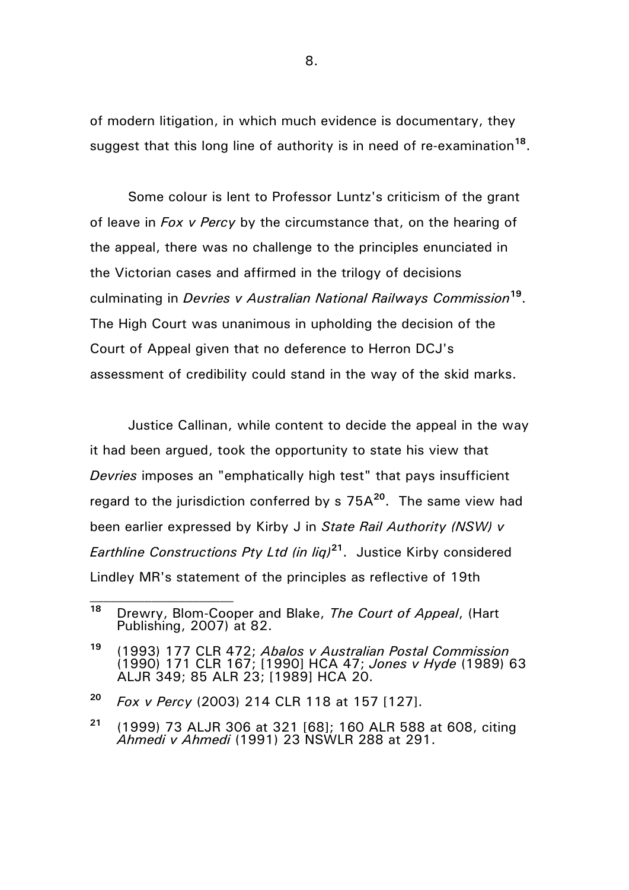of modern litigation, in which much evidence is documentary, they suggest that this long line of authority is in need of re-examination<sup>18</sup>.

Some colour is lent to Professor Luntz's criticism of the grant of leave in *Fox v Percy* by the circumstance that, on the hearing of the appeal, there was no challenge to the principles enunciated in the Victorian cases and affirmed in the trilogy of decisions culminating in *Devries v Australian National Railways Commission***<sup>19</sup>** . The High Court was unanimous in upholding the decision of the Court of Appeal given that no deference to Herron DCJ's assessment of credibility could stand in the way of the skid marks.

Justice Callinan, while content to decide the appeal in the way it had been argued, took the opportunity to state his view that *Devries* imposes an "emphatically high test" that pays insufficient regard to the jurisdiction conferred by s 75A**<sup>20</sup>**. The same view had been earlier expressed by Kirby J in *State Rail Authority (NSW) v Earthline Constructions Pty Ltd (in liq)***<sup>21</sup>** . Justice Kirby considered Lindley MR's statement of the principles as reflective of 19th

**<sup>18</sup>** Drewry, Blom-Cooper and Blake, *The Court of Appeal*, (Hart Publishing, 2007) at 82.

**<sup>19</sup>** (1993) 177 CLR 472; *Abalos v Australian Postal Commission* (1990) 171 CLR 167; [1990] HCA 47; *Jones v Hyde* (1989) 63 ALJR 349; 85 ALR 23; [1989] HCA 20.

**<sup>20</sup>** *Fox v Percy* (2003) 214 CLR 118 at 157 [127].

**<sup>21</sup>** (1999) 73 ALJR 306 at 321 [68]; 160 ALR 588 at 608, citing *Ahmedi v Ahmedi* (1991) 23 NSWLR 288 at 291.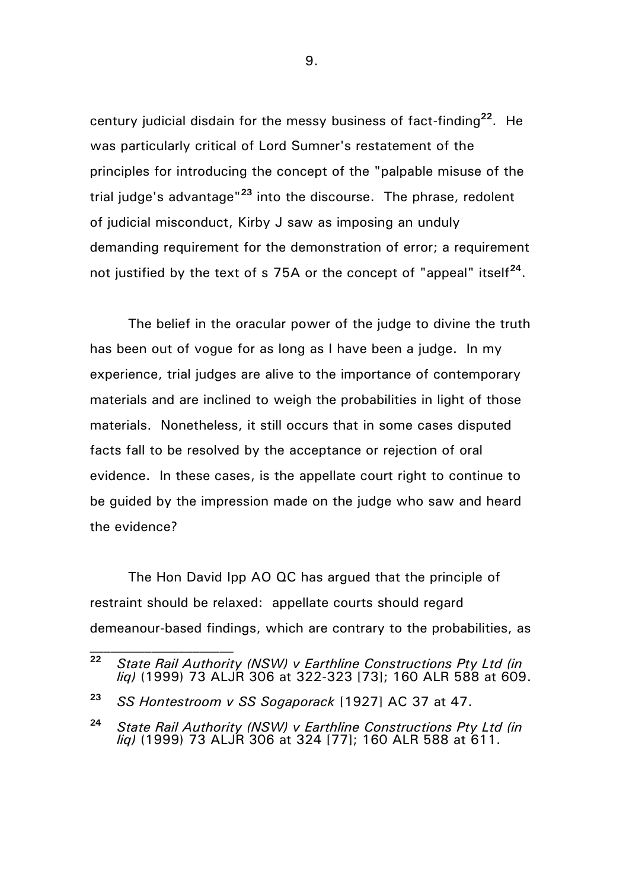century judicial disdain for the messy business of fact-finding**<sup>22</sup>**. He was particularly critical of Lord Sumner's restatement of the principles for introducing the concept of the "palpable misuse of the trial judge's advantage"**<sup>23</sup>** into the discourse. The phrase, redolent of judicial misconduct, Kirby J saw as imposing an unduly demanding requirement for the demonstration of error; a requirement not justified by the text of s 75A or the concept of "appeal" itself**<sup>24</sup>** .

The belief in the oracular power of the judge to divine the truth has been out of vogue for as long as I have been a judge. In my experience, trial judges are alive to the importance of contemporary materials and are inclined to weigh the probabilities in light of those materials. Nonetheless, it still occurs that in some cases disputed facts fall to be resolved by the acceptance or rejection of oral evidence. In these cases, is the appellate court right to continue to be guided by the impression made on the judge who saw and heard the evidence?

The Hon David Ipp AO QC has arqued that the principle of restraint should be relaxed: appellate courts should regard demeanour-based findings, which are contrary to the probabilities, as

**<sup>22</sup>** *State Rail Authority (NSW) v Earthline Constructions Pty Ltd (in liq)* (1999) 73 ALJR 306 at 322-323 [73]; 160 ALR 588 at 609.

**<sup>23</sup>** *SS Hontestroom v SS Sogaporack* [1927] AC 37 at 47.

**<sup>24</sup>** *State Rail Authority (NSW) v Earthline Constructions Pty Ltd (in liq)* (1999) 73 ALJR 306 at 324 [77]; 160 ALR 588 at 611.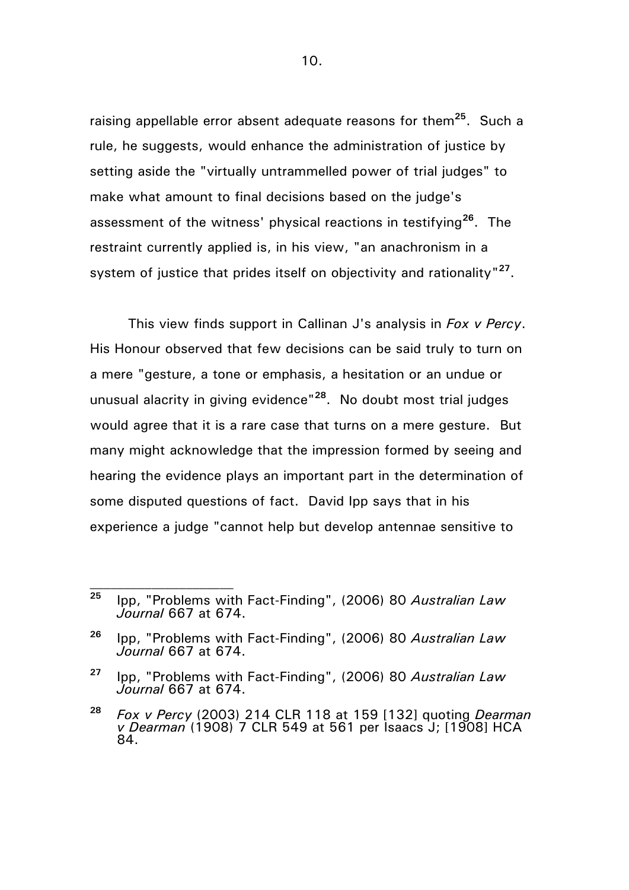raising appellable error absent adequate reasons for them**<sup>25</sup>**. Such a rule, he suggests, would enhance the administration of justice by setting aside the "virtually untrammelled power of trial judges" to make what amount to final decisions based on the judge's assessment of the witness' physical reactions in testifying**<sup>26</sup>** . The restraint currently applied is, in his view, "an anachronism in a system of justice that prides itself on objectivity and rationality"<sup>27</sup>.

This view finds support in Callinan J's analysis in *Fox v Percy*. His Honour observed that few decisions can be said truly to turn on a mere "gesture, a tone or emphasis, a hesitation or an undue or unusual alacrity in giving evidence"**<sup>28</sup>** . No doubt most trial judges would agree that it is a rare case that turns on a mere gesture. But many might acknowledge that the impression formed by seeing and hearing the evidence plays an important part in the determination of some disputed questions of fact. David Ipp says that in his experience a judge "cannot help but develop antennae sensitive to

**<sup>25</sup>** Ipp, "Problems with Fact-Finding", (2006) 80 *Australian Law Journal* 667 at 674.

**<sup>26</sup>** Ipp, "Problems with Fact-Finding", (2006) 80 *Australian Law Journal* 667 at 674.

**<sup>27</sup>** Ipp, "Problems with Fact-Finding", (2006) 80 *Australian Law Journal* 667 at 674.

**<sup>28</sup>** *Fox v Percy* (2003) 214 CLR 118 at 159 [132] quoting *Dearman v Dearman* (1908) 7 CLR 549 at 561 per Isaacs J; [1908] HCA 84.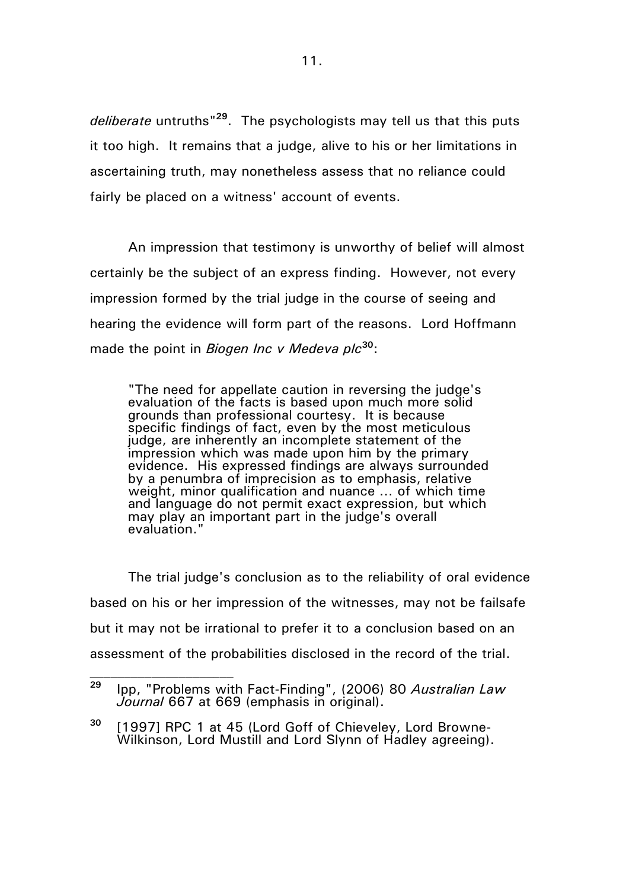*deliberate* untruths" **<sup>29</sup>**. The psychologists may tell us that this puts it too high. It remains that a judge, alive to his or her limitations in ascertaining truth, may nonetheless assess that no reliance could fairly be placed on a witness' account of events.

An impression that testimony is unworthy of belief will almost certainly be the subject of an express finding. However, not every impression formed by the trial judge in the course of seeing and hearing the evidence will form part of the reasons. Lord Hoffmann made the point in *Biogen Inc v Medeva plc***<sup>30</sup>**:

"The need for appellate caution in reversing the judge's evaluation of the facts is based upon much more solid grounds than professional courtesy. It is because specific findings of fact, even by the most meticulous judge, are inherently an incomplete statement of the impression which was made upon him by the primary evidence. His expressed findings are always surrounded by a penumbra of imprecision as to emphasis, relative weight, minor qualification and nuance … of which time and language do not permit exact expression, but which may play an important part in the judge's overall evaluation."

The trial judge's conclusion as to the reliability of oral evidence based on his or her impression of the witnesses, may not be failsafe but it may not be irrational to prefer it to a conclusion based on an assessment of the probabilities disclosed in the record of the trial.

**<sup>29</sup>** Ipp, "Problems with Fact-Finding", (2006) 80 *Australian Law Journal* 667 at 669 (emphasis in original).

**<sup>30</sup>** [1997] RPC 1 at 45 (Lord Goff of Chieveley, Lord Browne-Wilkinson, Lord Mustill and Lord Slynn of Hadley agreeing).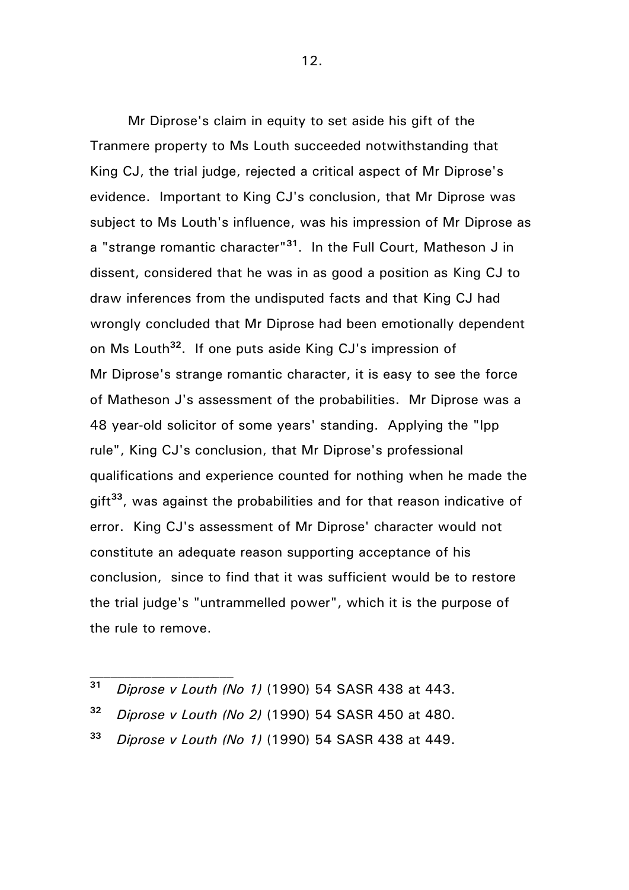Mr Diprose's claim in equity to set aside his gift of the Tranmere property to Ms Louth succeeded notwithstanding that King CJ, the trial judge, rejected a critical aspect of Mr Diprose's evidence. Important to King CJ's conclusion, that Mr Diprose was subject to Ms Louth's influence, was his impression of Mr Diprose as a "strange romantic character"**<sup>31</sup>**. In the Full Court, Matheson J in dissent, considered that he was in as good a position as King CJ to draw inferences from the undisputed facts and that King CJ had wrongly concluded that Mr Diprose had been emotionally dependent on Ms Louth**<sup>32</sup>**. If one puts aside King CJ's impression of Mr Diprose's strange romantic character, it is easy to see the force of Matheson J's assessment of the probabilities. Mr Diprose was a 48 year-old solicitor of some years' standing. Applying the "Ipp rule", King CJ's conclusion, that Mr Diprose's professional qualifications and experience counted for nothing when he made the gift**<sup>33</sup>** , was against the probabilities and for that reason indicative of error. King CJ's assessment of Mr Diprose' character would not constitute an adequate reason supporting acceptance of his conclusion, since to find that it was sufficient would be to restore the trial judge's "untrammelled power", which it is the purpose of the rule to remove.

- **<sup>31</sup>** *Diprose v Louth (No 1)* (1990) 54 SASR 438 at 443.
- **<sup>32</sup>** *Diprose v Louth (No 2)* (1990) 54 SASR 450 at 480.
- **<sup>33</sup>** *Diprose v Louth (No 1)* (1990) 54 SASR 438 at 449.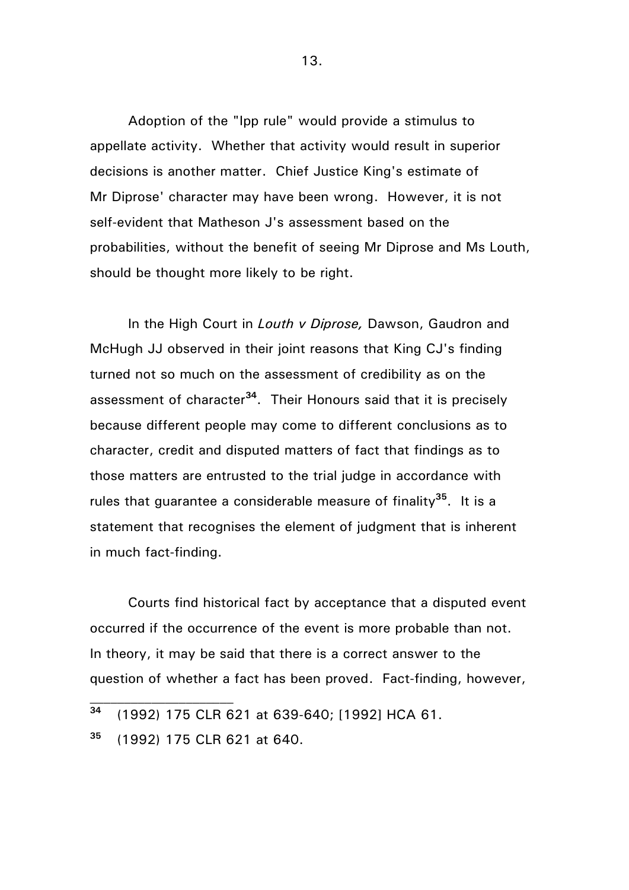Adoption of the "Ipp rule" would provide a stimulus to appellate activity. Whether that activity would result in superior decisions is another matter. Chief Justice King's estimate of Mr Diprose' character may have been wrong. However, it is not self-evident that Matheson J's assessment based on the probabilities, without the benefit of seeing Mr Diprose and Ms Louth, should be thought more likely to be right.

In the High Court in *Louth v Diprose,* Dawson, Gaudron and McHugh JJ observed in their joint reasons that King CJ's finding turned not so much on the assessment of credibility as on the assessment of character**<sup>34</sup>**. Their Honours said that it is precisely because different people may come to different conclusions as to character, credit and disputed matters of fact that findings as to those matters are entrusted to the trial judge in accordance with rules that guarantee a considerable measure of finality**<sup>35</sup>** . It is a statement that recognises the element of judgment that is inherent in much fact-finding.

Courts find historical fact by acceptance that a disputed event occurred if the occurrence of the event is more probable than not. In theory, it may be said that there is a correct answer to the question of whether a fact has been proved. Fact-finding, however,

**<sup>34</sup>** (1992) 175 CLR 621 at 639-640; [1992] HCA 61.

**<sup>35</sup>** (1992) 175 CLR 621 at 640.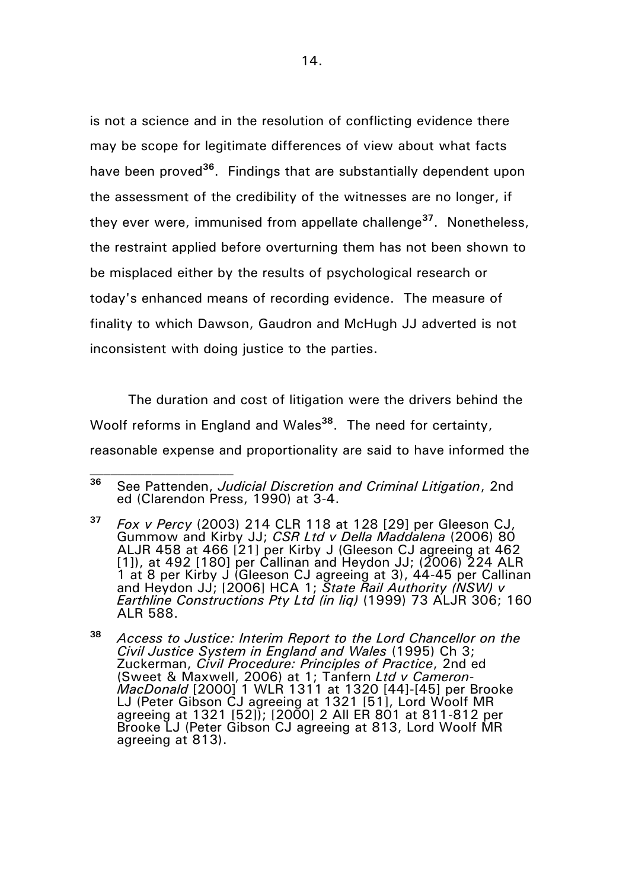is not a science and in the resolution of conflicting evidence there may be scope for legitimate differences of view about what facts have been proved**<sup>36</sup>** . Findings that are substantially dependent upon the assessment of the credibility of the witnesses are no longer, if they ever were, immunised from appellate challenge**<sup>37</sup>**. Nonetheless, the restraint applied before overturning them has not been shown to be misplaced either by the results of psychological research or today's enhanced means of recording evidence. The measure of finality to which Dawson, Gaudron and McHugh JJ adverted is not inconsistent with doing justice to the parties.

The duration and cost of litigation were the drivers behind the Woolf reforms in England and Wales**<sup>38</sup>**. The need for certainty, reasonable expense and proportionality are said to have informed the

**<sup>36</sup>** See Pattenden, *Judicial Discretion and Criminal Litigation*, 2nd ed (Clarendon Press, 1990) at 3-4.

**<sup>37</sup>** *Fox v Percy* (2003) 214 CLR 118 at 128 [29] per Gleeson CJ, Gummow and Kirby JJ; *CSR Ltd v Della Maddalena* (2006) 80 ALJR 458 at 466 [21] per Kirby J (Gleeson CJ agreeing at 462 [1]), at 492 [180] per Callinan and Heydon JJ; (2006) 224 ALR 1 at 8 per Kirby J (Gleeson CJ agreeing at 3), 44-45 per Callinan and Heydon JJ; [2006] HCA 1; *State Rail Authority (NSW) v Earthline Constructions Pty Ltd (in liq)* (1999) 73 ALJR 306; 160 ALR 588.

**<sup>38</sup>** *Access to Justice: Interim Report to the Lord Chancellor on the Civil Justice System in England and Wales* (1995) Ch 3; Zuckerman, *Civil Procedure: Principles of Practice*, 2nd ed (Sweet & Maxwell, 2006) at 1; Tanfern *Ltd v Cameron-MacDonald* [2000] 1 WLR 1311 at 1320 [44]-[45] per Brooke LJ (Peter Gibson CJ agreeing at 1321 [51], Lord Woolf MR agreeing at 1321 [52]); [2000] 2 All ER 801 at 811-812 per Brooke LJ (Peter Gibson CJ agreeing at 813, Lord Woolf MR agreeing at 813).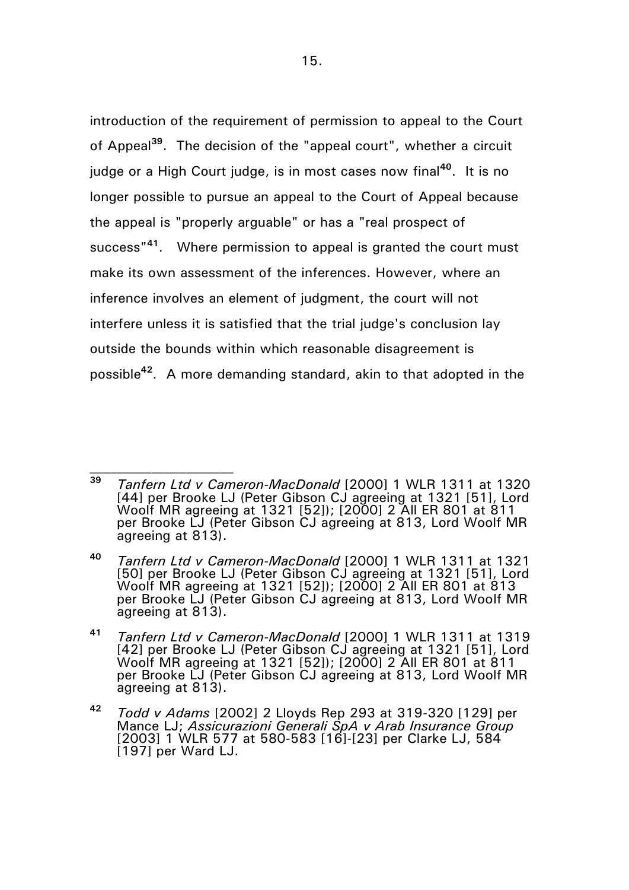introduction of the requirement of permission to appeal to the Court of Appeal**<sup>39</sup>** . The decision of the "appeal court", whether a circuit judge or a High Court judge, is in most cases now final**<sup>40</sup>** . It is no longer possible to pursue an appeal to the Court of Appeal because the appeal is "properly arguable" or has a "real prospect of success"**<sup>41</sup>** . Where permission to appeal is granted the court must make its own assessment of the inferences. However, where an inference involves an element of judgment, the court will not interfere unless it is satisfied that the trial judge's conclusion lay outside the bounds within which reasonable disagreement is possible**<sup>42</sup>** . A more demanding standard, akin to that adopted in the

**<sup>39</sup>** *Tanfern Ltd v Cameron-MacDonald* [2000] 1 WLR 1311 at 1320 [44] per Brooke LJ (Peter Gibson CJ agreeing at 1321 [51], Lord Woolf MR agreeing at 1321 [52]); [2000] 2 All ER 801 at 811 per Brooke LJ (Peter Gibson CJ agreeing at 813, Lord Woolf MR agreeing at 813).

**<sup>40</sup>** *Tanfern Ltd v Cameron-MacDonald* [2000] 1 WLR 1311 at 1321 [50] per Brooke LJ (Peter Gibson CJ agreeing at 1321 [51], Lord Woolf MR agreeing at 1321 [52]); [2000] 2 All ER 801 at 813 per Brooke LJ (Peter Gibson CJ agreeing at 813, Lord Woolf MR agreeing at 813).

**<sup>41</sup>** *Tanfern Ltd v Cameron-MacDonald* [2000] 1 WLR 1311 at 1319 [42] per Brooke LJ (Peter Gibson CJ agreeing at 1321 [51], Lord Woolf MR agreeing at 1321 [52]); [2000] 2 All ER 801 at 811 per Brooke LJ (Peter Gibson CJ agreeing at 813, Lord Woolf MR agreeing at 813).

**<sup>42</sup>** *Todd v Adams* [2002] 2 Lloyds Rep 293 at 319-320 [129] per Mance LJ; *Assicurazioni Generali SpA v Arab Insurance Group* [2003] 1 WLR 577 at 580-583 [16]-[23] per Clarke LJ, 584 [197] per Ward LJ.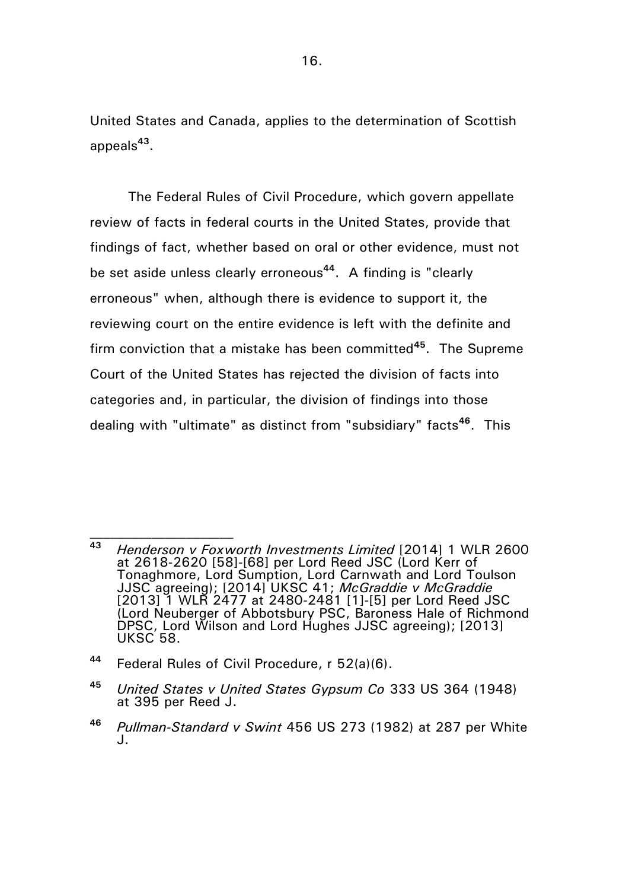United States and Canada, applies to the determination of Scottish appeals**<sup>43</sup>** .

The Federal Rules of Civil Procedure, which govern appellate review of facts in federal courts in the United States, provide that findings of fact, whether based on oral or other evidence, must not be set aside unless clearly erroneous**<sup>44</sup>** . A finding is "clearly erroneous" when, although there is evidence to support it, the reviewing court on the entire evidence is left with the definite and firm conviction that a mistake has been committed**<sup>45</sup>**. The Supreme Court of the United States has rejected the division of facts into categories and, in particular, the division of findings into those dealing with "ultimate" as distinct from "subsidiary" facts**<sup>46</sup>** . This

**<sup>44</sup>** Federal Rules of Civil Procedure, r 52(a)(6).

**<sup>43</sup>** *Henderson v Foxworth Investments Limited* [2014] 1 WLR 2600 at 2618-2620 [58]-[68] per Lord Reed JSC (Lord Kerr of Tonaghmore, Lord Sumption, Lord Carnwath and Lord Toulson JJSC agreeing); [2014] UKSC 41; *McGraddie v McGraddie* [2013] 1 WLR 2477 at 2480-2481 [1]-[5] per Lord Reed JSC (Lord Neuberger of Abbotsbury PSC, Baroness Hale of Richmond DPSC, Lord Wilson and Lord Hughes JJSC agreeing); [2013] UKSC 58.

**<sup>45</sup>** *United States v United States Gypsum Co* 333 US 364 (1948) at 395 per Reed J.

**<sup>46</sup>** *Pullman-Standard v Swint* 456 US 273 (1982) at 287 per White J.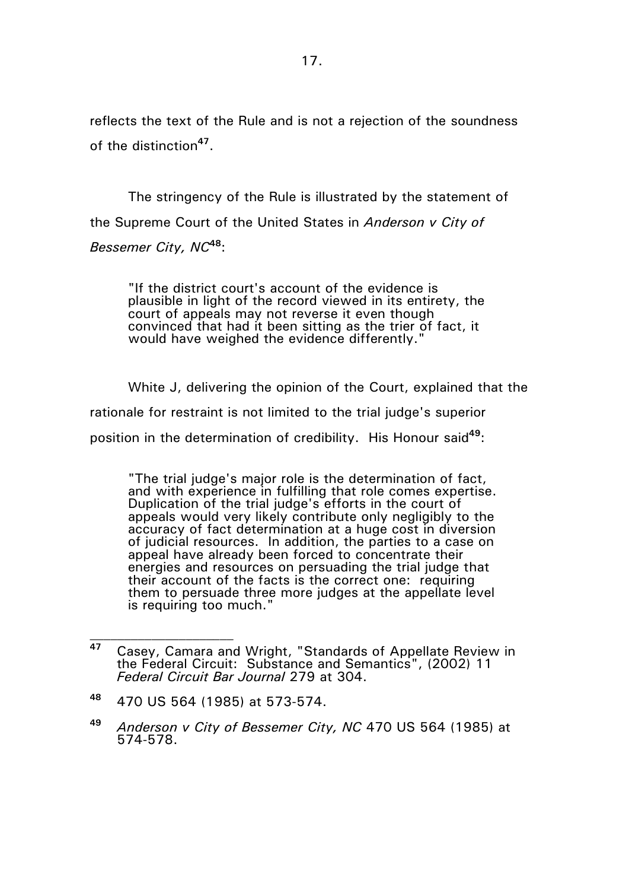reflects the text of the Rule and is not a rejection of the soundness of the distinction**<sup>47</sup>** .

The stringency of the Rule is illustrated by the statement of the Supreme Court of the United States in *Anderson v City of Bessemer City, NC***<sup>48</sup>**:

"If the district court's account of the evidence is plausible in light of the record viewed in its entirety, the court of appeals may not reverse it even though convinced that had it been sitting as the trier of fact, it would have weighed the evidence differently."

White J, delivering the opinion of the Court, explained that the

rationale for restraint is not limited to the trial judge's superior

position in the determination of credibility. His Honour said**<sup>49</sup>**:

"The trial judge's major role is the determination of fact, and with experience in fulfilling that role comes expertise. Duplication of the trial judge's efforts in the court of appeals would very likely contribute only negligibly to the accuracy of fact determination at a huge cost in diversion of judicial resources. In addition, the parties to a case on appeal have already been forced to concentrate their energies and resources on persuading the trial judge that their account of the facts is the correct one: requiring them to persuade three more judges at the appellate level is requiring too much."

**<sup>47</sup>** Casey, Camara and Wright, "Standards of Appellate Review in the Federal Circuit: Substance and Semantics", (2002) 11 *Federal Circuit Bar Journal* 279 at 304.

**<sup>48</sup>** 470 US 564 (1985) at 573-574.

**<sup>49</sup>** *Anderson v City of Bessemer City, NC* 470 US 564 (1985) at 574-578.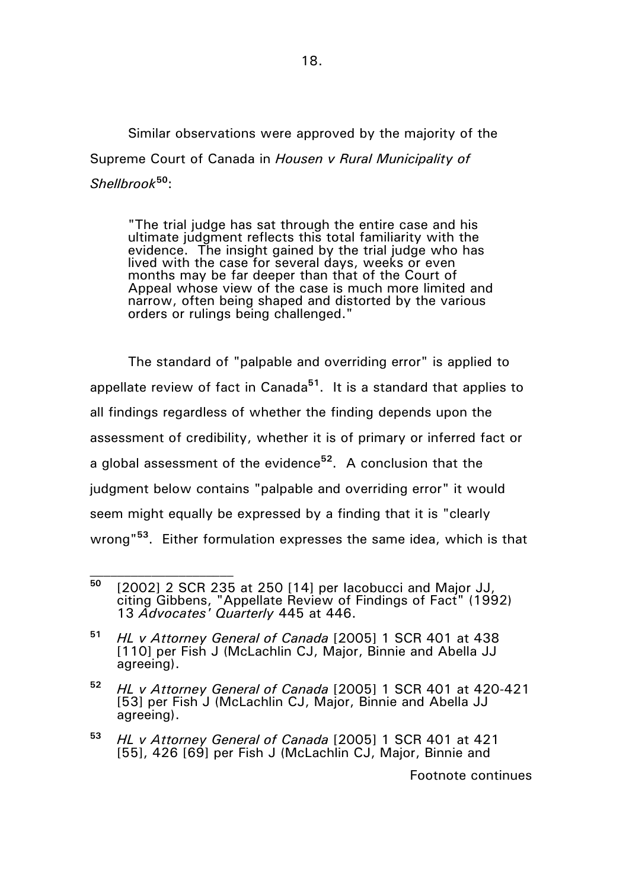Similar observations were approved by the majority of the Supreme Court of Canada in *Housen v Rural Municipality of Shellbrook***<sup>50</sup>**:

"The trial judge has sat through the entire case and his ultimate judgment reflects this total familiarity with the evidence. The insight gained by the trial judge who has lived with the case for several days, weeks or even months may be far deeper than that of the Court of Appeal whose view of the case is much more limited and narrow, often being shaped and distorted by the various orders or rulings being challenged."

The standard of "palpable and overriding error" is applied to appellate review of fact in Canada**<sup>51</sup>**. It is a standard that applies to all findings regardless of whether the finding depends upon the assessment of credibility, whether it is of primary or inferred fact or a global assessment of the evidence**<sup>52</sup>**. A conclusion that the judgment below contains "palpable and overriding error" it would seem might equally be expressed by a finding that it is "clearly wrong"**<sup>53</sup>**. Either formulation expresses the same idea, which is that

- **<sup>52</sup>** *HL v Attorney General of Canada* [2005] 1 SCR 401 at 420-421 [53] per Fish J (McLachlin CJ, Major, Binnie and Abella JJ agreeing).
- **<sup>53</sup>** *HL v Attorney General of Canada* [2005] 1 SCR 401 at 421 [55], 426 [69] per Fish J (McLachlin CJ, Major, Binnie and

Footnote continues

**<sup>50</sup>** [2002] 2 SCR 235 at 250 [14] per Iacobucci and Major JJ, citing Gibbens, "Appellate Review of Findings of Fact" (1992) 13 *Advocates' Quarterly* 445 at 446.

**<sup>51</sup>** *HL v Attorney General of Canada* [2005] 1 SCR 401 at 438 [110] per Fish J (McLachlin CJ, Major, Binnie and Abella JJ agreeing).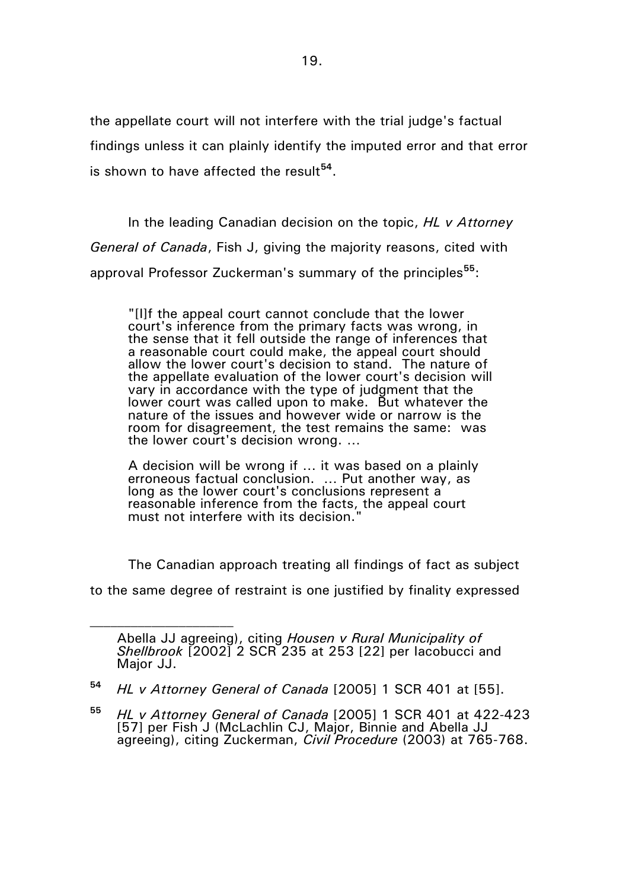the appellate court will not interfere with the trial judge's factual findings unless it can plainly identify the imputed error and that error is shown to have affected the result**<sup>54</sup>** .

In the leading Canadian decision on the topic, *HL v Attorney General of Canada*, Fish J, giving the majority reasons, cited with approval Professor Zuckerman's summary of the principles**<sup>55</sup>**:

"[I]f the appeal court cannot conclude that the lower court's inference from the primary facts was wrong, in the sense that it fell outside the range of inferences that a reasonable court could make, the appeal court should allow the lower court's decision to stand. The nature of the appellate evaluation of the lower court's decision will vary in accordance with the type of judgment that the lower court was called upon to make. But whatever the nature of the issues and however wide or narrow is the room for disagreement, the test remains the same: was the lower court's decision wrong. …

A decision will be wrong if … it was based on a plainly erroneous factual conclusion. … Put another way, as long as the lower court's conclusions represent a reasonable inference from the facts, the appeal court must not interfere with its decision."

The Canadian approach treating all findings of fact as subject

to the same degree of restraint is one justified by finality expressed

Abella JJ agreeing), citing *Housen v Rural Municipality of Shellbrook* [2002] 2 SCR 235 at 253 [22] per Iacobucci and Major JJ.

**<sup>54</sup>** *HL v Attorney General of Canada* [2005] 1 SCR 401 at [55].

**<sup>55</sup>** *HL v Attorney General of Canada* [2005] 1 SCR 401 at 422-423 [57] per Fish J (McLachlin CJ, Major, Binnie and Abella JJ agreeing), citing Zuckerman, *Civil Procedure* (2003) at 765-768.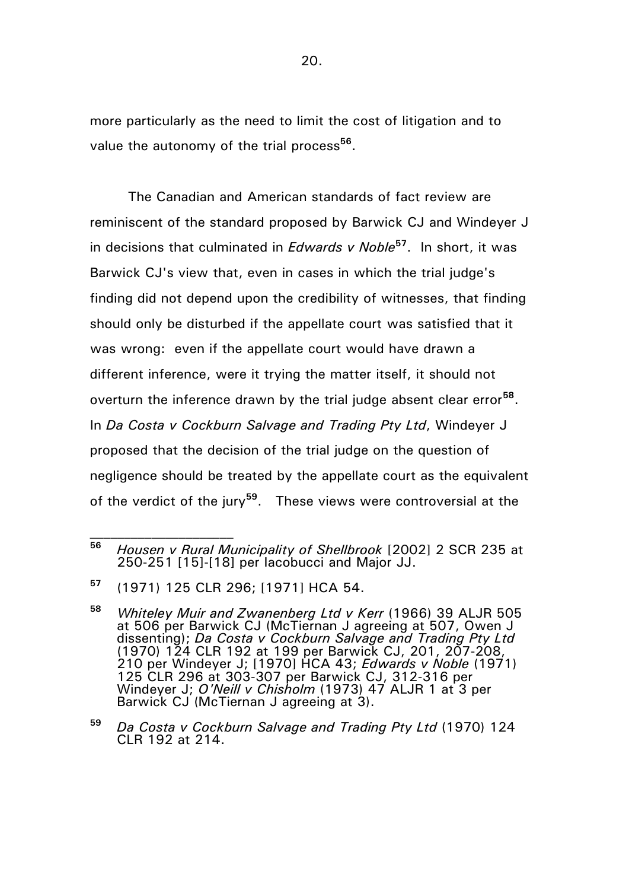more particularly as the need to limit the cost of litigation and to value the autonomy of the trial process**<sup>56</sup>** .

The Canadian and American standards of fact review are reminiscent of the standard proposed by Barwick CJ and Windeyer J in decisions that culminated in *Edwards v Noble***<sup>57</sup>** . In short, it was Barwick CJ's view that, even in cases in which the trial judge's finding did not depend upon the credibility of witnesses, that finding should only be disturbed if the appellate court was satisfied that it was wrong: even if the appellate court would have drawn a different inference, were it trying the matter itself, it should not overturn the inference drawn by the trial judge absent clear error**<sup>58</sup>** . In *Da Costa v Cockburn Salvage and Trading Pty Ltd*, Windeyer J proposed that the decision of the trial judge on the question of negligence should be treated by the appellate court as the equivalent of the verdict of the jury**<sup>59</sup>** . These views were controversial at the

**<sup>59</sup>** *Da Costa v Cockburn Salvage and Trading Pty Ltd* (1970) 124 CLR 192 at 214.

**<sup>56</sup>** *Housen v Rural Municipality of Shellbrook* [2002] 2 SCR 235 at 250-251 [15]-[18] per Iacobucci and Major JJ.

**<sup>57</sup>** (1971) 125 CLR 296; [1971] HCA 54.

**<sup>58</sup>** *Whiteley Muir and Zwanenberg Ltd v Kerr* (1966) 39 ALJR 505 at 506 per Barwick CJ (McTiernan J agreeing at 507, Owen J dissenting); *Da Costa v Cockburn Salvage and Trading Pty Ltd* (1970) 124 CLR 192 at 199 per Barwick CJ, 201, 207-208, 210 per Windeyer J; [1970] HCA 43; *Edwards v Noble* (1971) 125 CLR 296 at 303-307 per Barwick CJ, 312-316 per Windeyer J; *O'Neill v Chisholm* (1973) 47 ALJR 1 at 3 per Barwick CJ (McTiernan J agreeing at 3).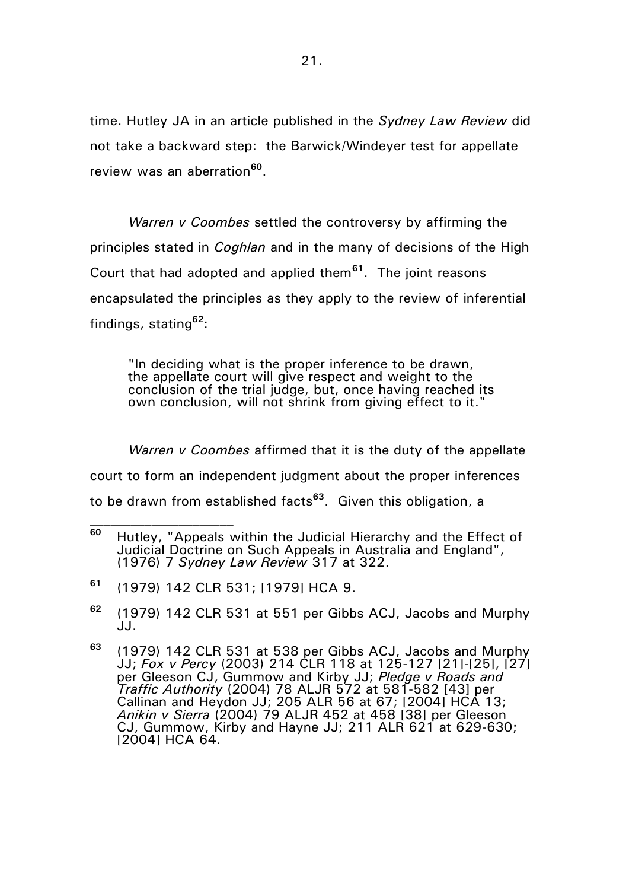time. Hutley JA in an article published in the *Sydney Law Review* did not take a backward step: the Barwick/Windeyer test for appellate review was an aberration**<sup>60</sup>** .

*Warren v Coombes* settled the controversy by affirming the principles stated in *Coghlan* and in the many of decisions of the High Court that had adopted and applied them**<sup>61</sup>**. The joint reasons encapsulated the principles as they apply to the review of inferential findings, stating**<sup>62</sup>**:

"In deciding what is the proper inference to be drawn, the appellate court will give respect and weight to the conclusion of the trial judge, but, once having reached its own conclusion, will not shrink from giving effect to it."

*Warren v Coombes* affirmed that it is the duty of the appellate court to form an independent judgment about the proper inferences to be drawn from established facts**<sup>63</sup>** . Given this obligation, a

- **<sup>61</sup>** (1979) 142 CLR 531; [1979] HCA 9.
- **<sup>62</sup>** (1979) 142 CLR 531 at 551 per Gibbs ACJ, Jacobs and Murphy  $JJ_{\perp}$

**<sup>60</sup>** Hutley, "Appeals within the Judicial Hierarchy and the Effect of Judicial Doctrine on Such Appeals in Australia and England", (1976) 7 *Sydney Law Review* 317 at 322.

**<sup>63</sup>** (1979) 142 CLR 531 at 538 per Gibbs ACJ, Jacobs and Murphy JJ; *Fox v Percy* (2003) 214 CLR 118 at 125-127 [21]-[25], [27] per Gleeson CJ, Gummow and Kirby JJ; *Pledge v Roads and Traffic Authority* (2004) 78 ALJR 572 at 581-582 [43] per Callinan and Heydon JJ; 205 ALR 56 at 67; [2004] HCA 13; *Anikin v Sierra* (2004) 79 ALJR 452 at 458 [38] per Gleeson CJ, Gummow, Kirby and Hayne JJ; 211 ALR 621 at 629-630; [2004] HCA 64.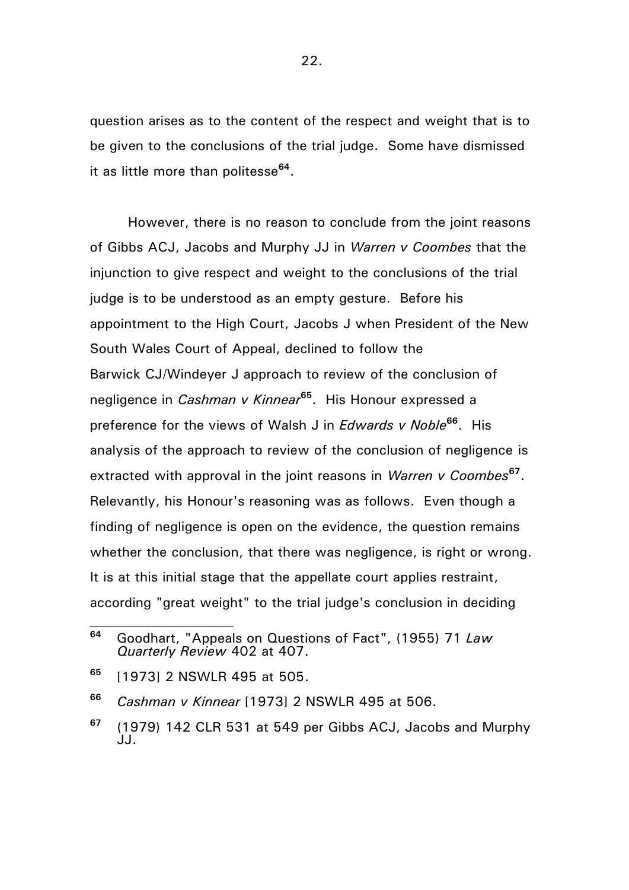question arises as to the content of the respect and weight that is to be given to the conclusions of the trial judge. Some have dismissed it as little more than politesse**<sup>64</sup>** .

However, there is no reason to conclude from the joint reasons of Gibbs ACJ, Jacobs and Murphy JJ in *Warren v Coombes* that the injunction to give respect and weight to the conclusions of the trial judge is to be understood as an empty gesture. Before his appointment to the High Court, Jacobs J when President of the New South Wales Court of Appeal, declined to follow the Barwick CJ/Windeyer J approach to review of the conclusion of negligence in *Cashman v Kinnear***<sup>65</sup>**. His Honour expressed a preference for the views of Walsh J in *Edwards v Noble***<sup>66</sup>** . His analysis of the approach to review of the conclusion of negligence is extracted with approval in the joint reasons in *Warren v Coombes***<sup>67</sup>** . Relevantly, his Honour's reasoning was as follows. Even though a finding of negligence is open on the evidence, the question remains whether the conclusion, that there was negligence, is right or wrong. It is at this initial stage that the appellate court applies restraint, according "great weight" to the trial judge's conclusion in deciding

**<sup>64</sup>** Goodhart, "Appeals on Questions of Fact", (1955) 71 *Law Quarterly Review* 402 at 407.

**<sup>65</sup>** [1973] 2 NSWLR 495 at 505.

**<sup>66</sup>** *Cashman v Kinnear* [1973] 2 NSWLR 495 at 506.

**<sup>67</sup>** (1979) 142 CLR 531 at 549 per Gibbs ACJ, Jacobs and Murphy JJ.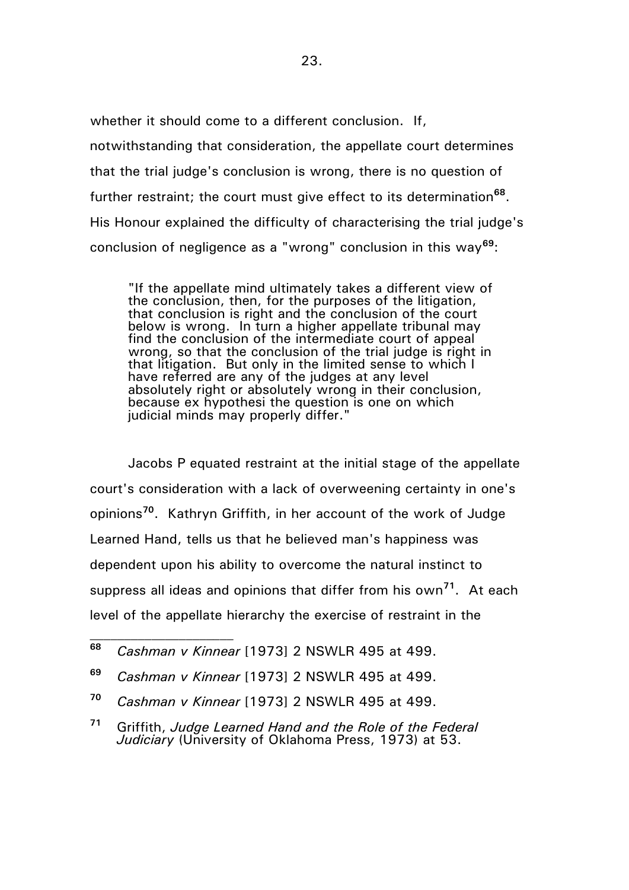whether it should come to a different conclusion. If, notwithstanding that consideration, the appellate court determines that the trial judge's conclusion is wrong, there is no question of further restraint; the court must give effect to its determination**<sup>68</sup>** . His Honour explained the difficulty of characterising the trial judge's conclusion of negligence as a "wrong" conclusion in this way**<sup>69</sup>**:

"If the appellate mind ultimately takes a different view of the conclusion, then, for the purposes of the litigation, that conclusion is right and the conclusion of the court below is wrong. In turn a higher appellate tribunal may find the conclusion of the intermediate court of appeal wrong, so that the conclusion of the trial judge is right in that litigation. But only in the limited sense to which I have referred are any of the judges at any level absolutely right or absolutely wrong in their conclusion, because ex hypothesi the question is one on which judicial minds may properly differ."

Jacobs P equated restraint at the initial stage of the appellate court's consideration with a lack of overweening certainty in one's opinions**<sup>70</sup>** . Kathryn Griffith, in her account of the work of Judge Learned Hand, tells us that he believed man's happiness was dependent upon his ability to overcome the natural instinct to suppress all ideas and opinions that differ from his own**<sup>71</sup>** . At each level of the appellate hierarchy the exercise of restraint in the

**<sup>69</sup>** *Cashman v Kinnear* [1973] 2 NSWLR 495 at 499.

**<sup>68</sup>** *Cashman v Kinnear* [1973] 2 NSWLR 495 at 499.

**<sup>70</sup>** *Cashman v Kinnear* [1973] 2 NSWLR 495 at 499.

**<sup>71</sup>** Griffith, *Judge Learned Hand and the Role of the Federal Judiciary* (University of Oklahoma Press, 1973) at 53.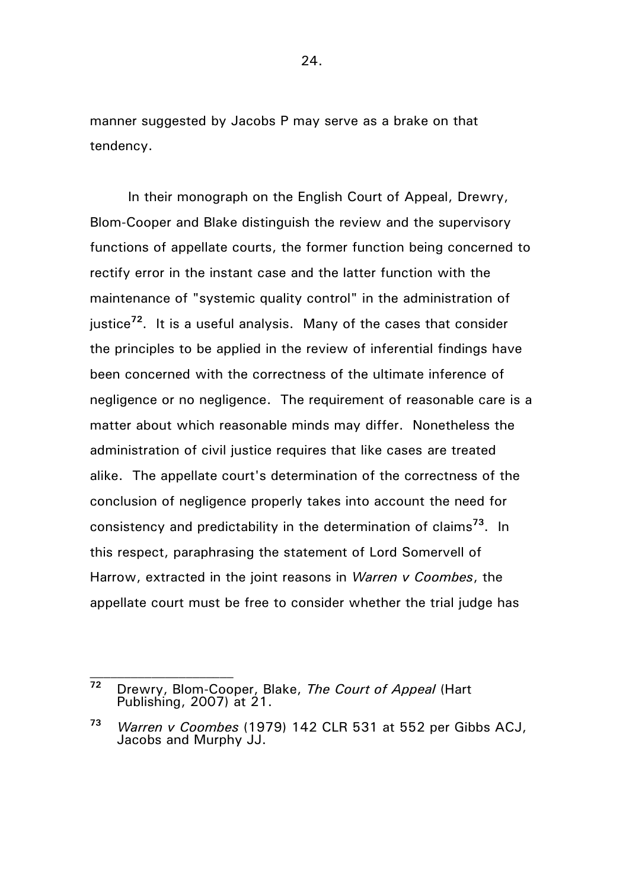manner suggested by Jacobs P may serve as a brake on that tendency.

In their monograph on the English Court of Appeal, Drewry, Blom-Cooper and Blake distinguish the review and the supervisory functions of appellate courts, the former function being concerned to rectify error in the instant case and the latter function with the maintenance of "systemic quality control" in the administration of justice**<sup>72</sup>**. It is a useful analysis. Many of the cases that consider the principles to be applied in the review of inferential findings have been concerned with the correctness of the ultimate inference of negligence or no negligence. The requirement of reasonable care is a matter about which reasonable minds may differ. Nonetheless the administration of civil justice requires that like cases are treated alike. The appellate court's determination of the correctness of the conclusion of negligence properly takes into account the need for consistency and predictability in the determination of claims**<sup>73</sup>** . In this respect, paraphrasing the statement of Lord Somervell of Harrow, extracted in the joint reasons in *Warren v Coombes*, the appellate court must be free to consider whether the trial judge has

**<sup>72</sup>** Drewry, Blom-Cooper, Blake, *The Court of Appeal* (Hart Publishing, 2007) at 21.

**<sup>73</sup>** *Warren v Coombes* (1979) 142 CLR 531 at 552 per Gibbs ACJ, Jacobs and Murphy JJ.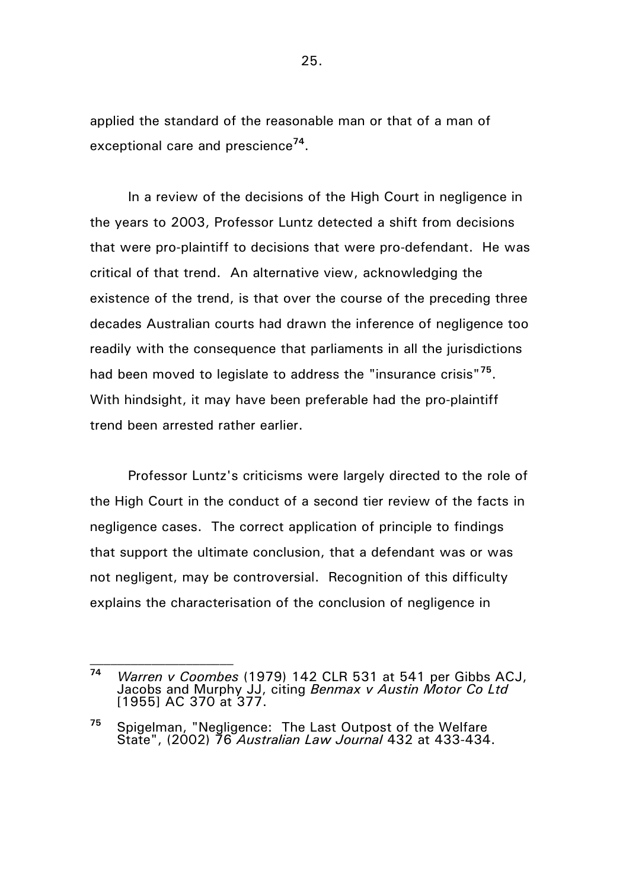applied the standard of the reasonable man or that of a man of exceptional care and prescience**<sup>74</sup>** .

In a review of the decisions of the High Court in negligence in the years to 2003, Professor Luntz detected a shift from decisions that were pro-plaintiff to decisions that were pro-defendant. He was critical of that trend. An alternative view, acknowledging the existence of the trend, is that over the course of the preceding three decades Australian courts had drawn the inference of negligence too readily with the consequence that parliaments in all the jurisdictions had been moved to legislate to address the "insurance crisis"**<sup>75</sup>** . With hindsight, it may have been preferable had the pro-plaintiff trend been arrested rather earlier.

Professor Luntz's criticisms were largely directed to the role of the High Court in the conduct of a second tier review of the facts in negligence cases. The correct application of principle to findings that support the ultimate conclusion, that a defendant was or was not negligent, may be controversial. Recognition of this difficulty explains the characterisation of the conclusion of negligence in

**<sup>74</sup>** *Warren v Coombes* (1979) 142 CLR 531 at 541 per Gibbs ACJ, Jacobs and Murphy JJ, citing *Benmax v Austin Motor Co Ltd*  [1955] AC 370 at 377.

**<sup>75</sup>** Spigelman, "Negligence: The Last Outpost of the Welfare State", (2002) 76 *Australian Law Journal* 432 at 433-434.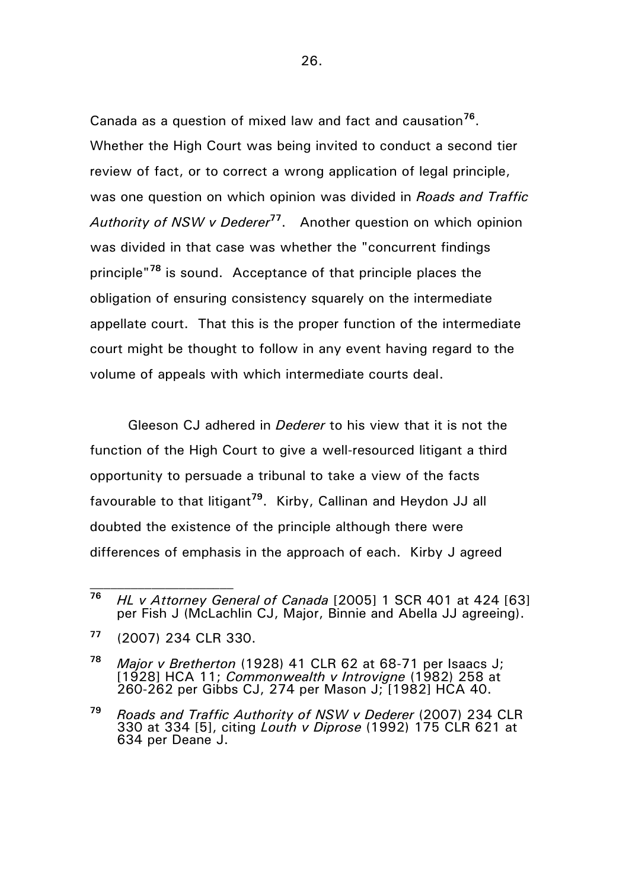Canada as a question of mixed law and fact and causation**<sup>76</sup>** . Whether the High Court was being invited to conduct a second tier review of fact, or to correct a wrong application of legal principle, was one question on which opinion was divided in *Roads and Traffic Authority of NSW v Dederer***<sup>77</sup>** . Another question on which opinion was divided in that case was whether the "concurrent findings principle"**<sup>78</sup>** is sound. Acceptance of that principle places the obligation of ensuring consistency squarely on the intermediate appellate court. That this is the proper function of the intermediate court might be thought to follow in any event having regard to the volume of appeals with which intermediate courts deal.

Gleeson CJ adhered in *Dederer* to his view that it is not the function of the High Court to give a well-resourced litigant a third opportunity to persuade a tribunal to take a view of the facts favourable to that litigant**<sup>79</sup>** . Kirby, Callinan and Heydon JJ all doubted the existence of the principle although there were differences of emphasis in the approach of each. Kirby J agreed

**<sup>76</sup>** *HL v Attorney General of Canada* [2005] 1 SCR 401 at 424 [63] per Fish J (McLachlin CJ, Major, Binnie and Abella JJ agreeing).

**<sup>77</sup>** (2007) 234 CLR 330.

**<sup>78</sup>** *Major v Bretherton* (1928) 41 CLR 62 at 68-71 per Isaacs J; [1928] HCA 11; *Commonwealth v Introvigne* (1982) 258 at 260-262 per Gibbs CJ, 274 per Mason J; [1982] HCA 40.

**<sup>79</sup>** *Roads and Traffic Authority of NSW v Dederer* (2007) 234 CLR 330 at 334 [5], citing *Louth v Diprose* (1992) 175 CLR 621 at 634 per Deane J.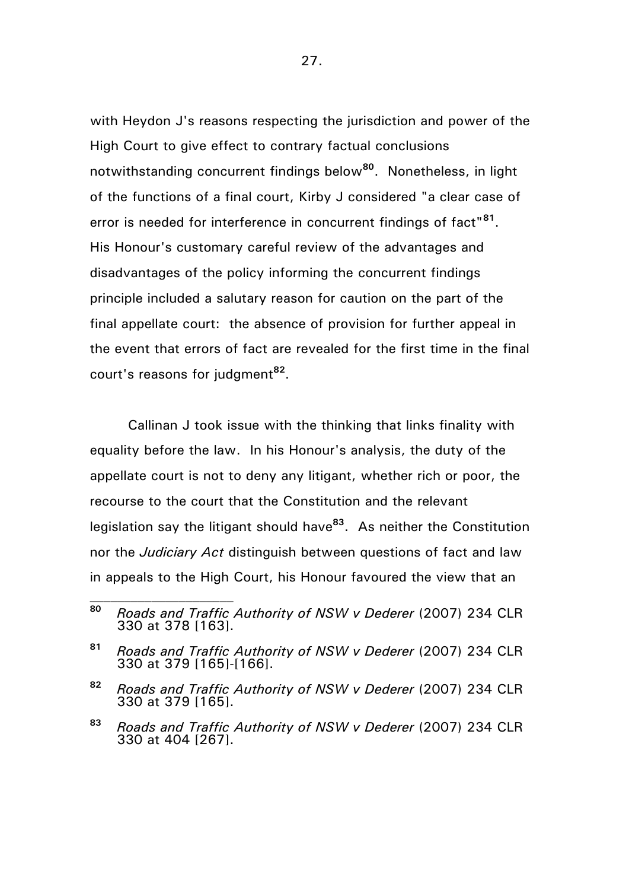with Heydon J's reasons respecting the jurisdiction and power of the High Court to give effect to contrary factual conclusions notwithstanding concurrent findings below**<sup>80</sup>** . Nonetheless, in light of the functions of a final court, Kirby J considered "a clear case of error is needed for interference in concurrent findings of fact"**<sup>81</sup>** . His Honour's customary careful review of the advantages and disadvantages of the policy informing the concurrent findings principle included a salutary reason for caution on the part of the final appellate court: the absence of provision for further appeal in the event that errors of fact are revealed for the first time in the final court's reasons for judgment**<sup>82</sup>** .

Callinan J took issue with the thinking that links finality with equality before the law. In his Honour's analysis, the duty of the appellate court is not to deny any litigant, whether rich or poor, the recourse to the court that the Constitution and the relevant legislation say the litigant should have**<sup>83</sup>**. As neither the Constitution nor the *Judiciary Act* distinguish between questions of fact and law in appeals to the High Court, his Honour favoured the view that an

**<sup>80</sup>** *Roads and Traffic Authority of NSW v Dederer* (2007) 234 CLR 330 at 378 [163].

**<sup>81</sup>** *Roads and Traffic Authority of NSW v Dederer* (2007) 234 CLR 330 at 379 [165]-[166].

**<sup>82</sup>** *Roads and Traffic Authority of NSW v Dederer* (2007) 234 CLR 330 at 379 [165].

**<sup>83</sup>** *Roads and Traffic Authority of NSW v Dederer* (2007) 234 CLR 330 at 404 [267].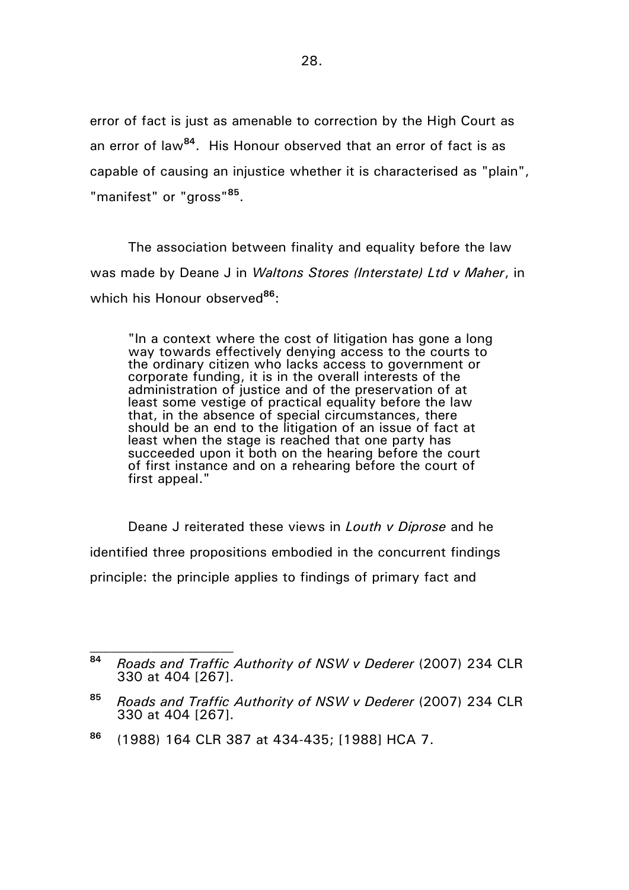error of fact is just as amenable to correction by the High Court as an error of law**<sup>84</sup>**. His Honour observed that an error of fact is as capable of causing an injustice whether it is characterised as "plain", "manifest" or "gross"**<sup>85</sup>** .

The association between finality and equality before the law was made by Deane J in *Waltons Stores (Interstate) Ltd v Maher*, in which his Honour observed**<sup>86</sup>**:

"In a context where the cost of litigation has gone a long way towards effectively denying access to the courts to the ordinary citizen who lacks access to government or corporate funding, it is in the overall interests of the administration of justice and of the preservation of at least some vestige of practical equality before the law that, in the absence of special circumstances, there should be an end to the litigation of an issue of fact at least when the stage is reached that one party has succeeded upon it both on the hearing before the court of first instance and on a rehearing before the court of first appeal."

Deane J reiterated these views in *Louth v Diprose* and he identified three propositions embodied in the concurrent findings principle: the principle applies to findings of primary fact and

**<sup>84</sup>** *Roads and Traffic Authority of NSW v Dederer* (2007) 234 CLR 330 at 404 [267].

**<sup>85</sup>** *Roads and Traffic Authority of NSW v Dederer* (2007) 234 CLR 330 at 404 [267].

**<sup>86</sup>** (1988) 164 CLR 387 at 434-435; [1988] HCA 7.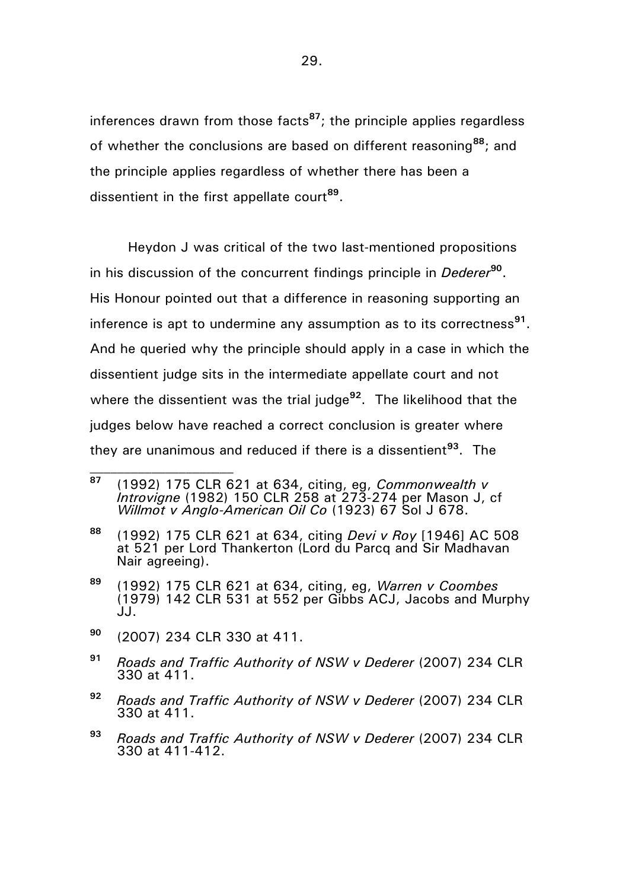inferences drawn from those facts**<sup>87</sup>**; the principle applies regardless of whether the conclusions are based on different reasoning**<sup>88</sup>**; and the principle applies regardless of whether there has been a dissentient in the first appellate court**<sup>89</sup>** .

Heydon J was critical of the two last-mentioned propositions in his discussion of the concurrent findings principle in *Dederer***<sup>90</sup>** . His Honour pointed out that a difference in reasoning supporting an inference is apt to undermine any assumption as to its correctness**<sup>91</sup>** . And he queried why the principle should apply in a case in which the dissentient judge sits in the intermediate appellate court and not where the dissentient was the trial judge<sup>92</sup>. The likelihood that the judges below have reached a correct conclusion is greater where they are unanimous and reduced if there is a dissentient**<sup>93</sup>**. The

- **<sup>90</sup>** (2007) 234 CLR 330 at 411.
- **<sup>91</sup>** *Roads and Traffic Authority of NSW v Dederer* (2007) 234 CLR 330 at 411.
- **<sup>92</sup>** *Roads and Traffic Authority of NSW v Dederer* (2007) 234 CLR 330 at 411.
- **<sup>93</sup>** *Roads and Traffic Authority of NSW v Dederer* (2007) 234 CLR 330 at 411-412.

**<sup>87</sup>** (1992) 175 CLR 621 at 634, citing, eg, *Commonwealth v Introvigne* (1982) 150 CLR 258 at 273-274 per Mason J, cf *Willmot v Anglo-American Oil Co* (1923) 67 Sol J 678.

**<sup>88</sup>** (1992) 175 CLR 621 at 634, citing *Devi v Roy* [1946] AC 508 at 521 per Lord Thankerton (Lord du Parcq and Sir Madhavan Nair agreeing).

**<sup>89</sup>** (1992) 175 CLR 621 at 634, citing, eg, *Warren v Coombes* (1979) 142 CLR 531 at 552 per Gibbs ACJ, Jacobs and Murphy JJ.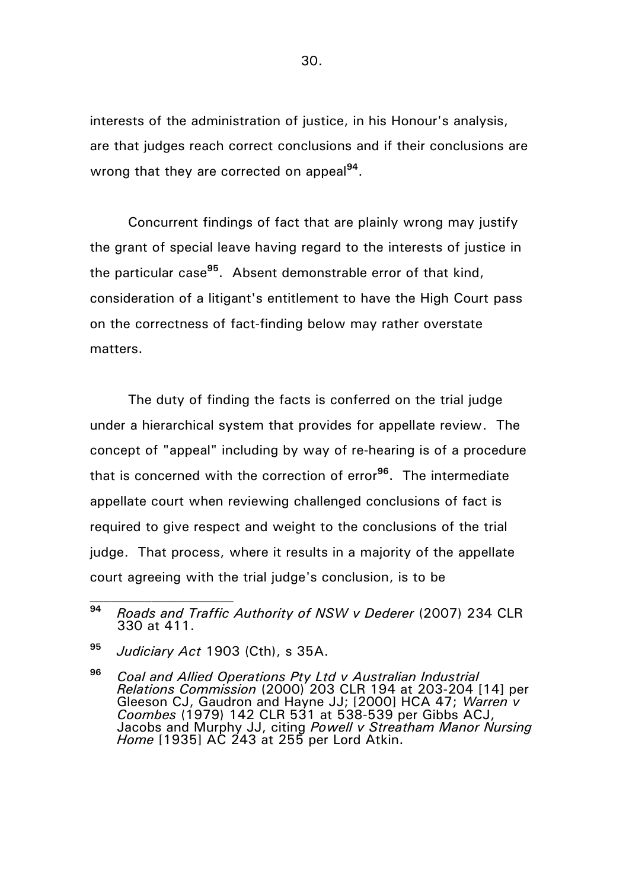interests of the administration of justice, in his Honour's analysis, are that judges reach correct conclusions and if their conclusions are wrong that they are corrected on appeal<sup>94</sup>.

Concurrent findings of fact that are plainly wrong may justify the grant of special leave having regard to the interests of justice in the particular case**<sup>95</sup>**. Absent demonstrable error of that kind, consideration of a litigant's entitlement to have the High Court pass on the correctness of fact-finding below may rather overstate matters.

The duty of finding the facts is conferred on the trial judge under a hierarchical system that provides for appellate review. The concept of "appeal" including by way of re-hearing is of a procedure that is concerned with the correction of error**<sup>96</sup>** . The intermediate appellate court when reviewing challenged conclusions of fact is required to give respect and weight to the conclusions of the trial judge. That process, where it results in a majority of the appellate court agreeing with the trial judge's conclusion, is to be

**<sup>95</sup>** *Judiciary Act* 1903 (Cth), s 35A.

**<sup>96</sup>** *Coal and Allied Operations Pty Ltd v Australian Industrial Relations Commission* (2000) 203 CLR 194 at 203-204 [14] per Gleeson CJ, Gaudron and Hayne JJ; [2000] HCA 47; *Warren v Coombes* (1979) 142 CLR 531 at 538-539 per Gibbs ACJ, Jacobs and Murphy JJ, citing *Powell v Streatham Manor Nursing Home* [1935] AC 243 at 255 per Lord Atkin.

**<sup>94</sup>** *Roads and Traffic Authority of NSW v Dederer* (2007) 234 CLR 330 at 411.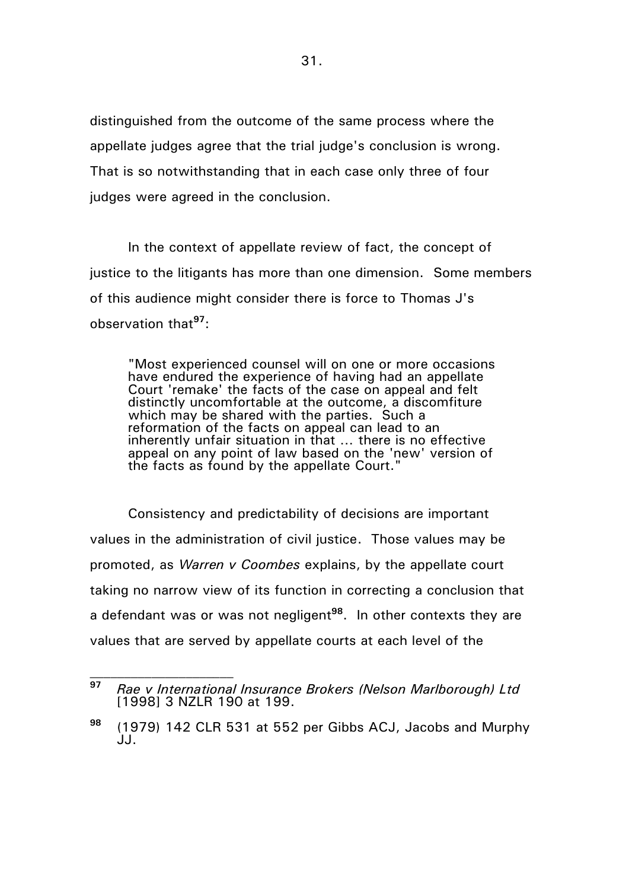distinguished from the outcome of the same process where the appellate judges agree that the trial judge's conclusion is wrong. That is so notwithstanding that in each case only three of four judges were agreed in the conclusion.

In the context of appellate review of fact, the concept of justice to the litigants has more than one dimension. Some members of this audience might consider there is force to Thomas J's observation that**<sup>97</sup>**:

"Most experienced counsel will on one or more occasions have endured the experience of having had an appellate Court 'remake' the facts of the case on appeal and felt distinctly uncomfortable at the outcome, a discomfiture which may be shared with the parties. Such a reformation of the facts on appeal can lead to an inherently unfair situation in that … there is no effective appeal on any point of law based on the 'new' version of the facts as found by the appellate Court."

Consistency and predictability of decisions are important values in the administration of civil justice. Those values may be promoted, as *Warren v Coombes* explains, by the appellate court taking no narrow view of its function in correcting a conclusion that a defendant was or was not negligent<sup>98</sup>. In other contexts they are values that are served by appellate courts at each level of the

**<sup>97</sup>** *Rae v International Insurance Brokers (Nelson Marlborough) Ltd* [1998] 3 NZLR 190 at 199.

**<sup>98</sup>** (1979) 142 CLR 531 at 552 per Gibbs ACJ, Jacobs and Murphy JJ.